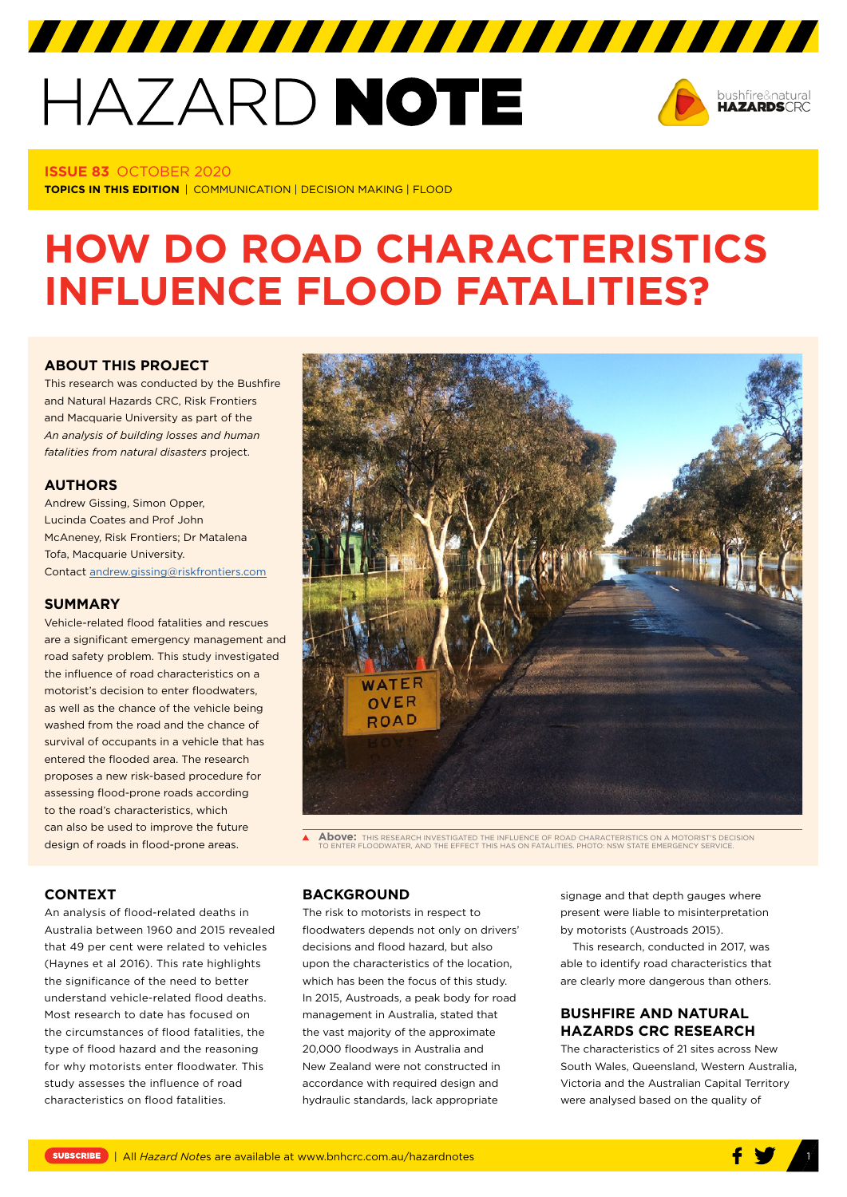## HAZARD NOTE



#### **ISSUE 83** OCTOBER 2020

**TOPICS IN THIS EDITION** | COMMUNICATION | DECISION MAKING | FLOOD

### **HOW DO ROAD CHARACTERISTICS INFLUENCE FLOOD FATALITIES?**

#### **ABOUT THIS PROJECT**

This research was conducted by the Bushfire and Natural Hazards CRC, Risk Frontiers and Macquarie University as part of the *An analysis of building losses and human fatalities from natural disasters* project.

#### **AUTHORS**

Andrew Gissing, Simon Opper, Lucinda Coates and Prof John McAneney, Risk Frontiers; Dr Matalena Tofa, Macquarie University. Contact [andrew.gissing@riskfrontiers.com](mailto:andrew.gissing@riskfrontiers.com)

#### **SUMMARY**

Vehicle-related flood fatalities and rescues are a significant emergency management and road safety problem. This study investigated the influence of road characteristics on a motorist's decision to enter floodwaters, as well as the chance of the vehicle being washed from the road and the chance of survival of occupants in a vehicle that has entered the flooded area. The research proposes a new risk-based procedure for assessing flood-prone roads according to the road's characteristics, which can also be used to improve the future design of roads in flood-prone areas.

# WATER OVER ROAD

**Above:** THIS RESEARCH INVESTIGATED THE INFLUENCE OF ROAD CHARACTERISTICS ON A MOTORIST'S DECISION TO ENTER FLOODWATER, AND THE EFFECT THIS HAS ON FATALITIES. PHOTO: NSW STATE EMERGENCY SERVICE.

#### **CONTEXT**

An analysis of flood-related deaths in Australia between 1960 and 2015 revealed that 49 per cent were related to vehicles (Haynes et al 2016). This rate highlights the significance of the need to better understand vehicle-related flood deaths. Most research to date has focused on the circumstances of flood fatalities, the type of flood hazard and the reasoning for why motorists enter floodwater. This study assesses the influence of road characteristics on flood fatalities.

#### **BACKGROUND**

The risk to motorists in respect to floodwaters depends not only on drivers' decisions and flood hazard, but also upon the characteristics of the location, which has been the focus of this study. In 2015, Austroads, a peak body for road management in Australia, stated that the vast majority of the approximate 20,000 floodways in Australia and New Zealand were not constructed in accordance with required design and hydraulic standards, lack appropriate

signage and that depth gauges where present were liable to misinterpretation by motorists (Austroads 2015).

This research, conducted in 2017, was able to identify road characteristics that are clearly more dangerous than others.

#### **BUSHFIRE AND NATURAL HAZARDS CRC RESEARCH**

The characteristics of 21 sites across New South Wales, Queensland, Western Australia, Victoria and the Australian Capital Territory were analysed based on the quality of

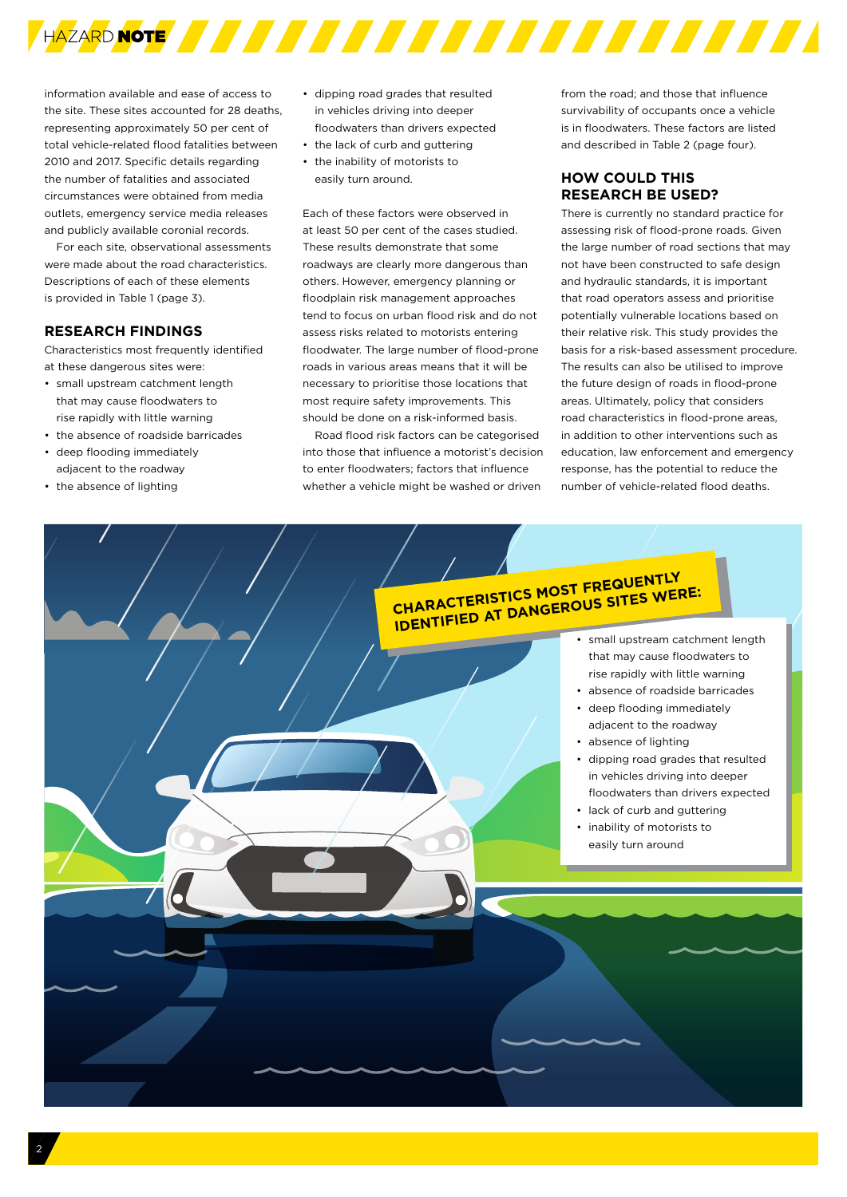

information available and ease of access to the site. These sites accounted for 28 deaths, representing approximately 50 per cent of total vehicle-related flood fatalities between 2010 and 2017. Specific details regarding the number of fatalities and associated circumstances were obtained from media outlets, emergency service media releases and publicly available coronial records.

For each site, observational assessments were made about the road characteristics. Descriptions of each of these elements is provided in Table 1 (page 3).

#### **RESEARCH FINDINGS**

Characteristics most frequently identified at these dangerous sites were:

- small upstream catchment length that may cause floodwaters to rise rapidly with little warning
- the absence of roadside barricades
- deep flooding immediately adjacent to the roadway
- the absence of lighting
- dipping road grades that resulted in vehicles driving into deeper floodwaters than drivers expected
- the lack of curb and guttering
- the inability of motorists to easily turn around.

Each of these factors were observed in at least 50 per cent of the cases studied. These results demonstrate that some roadways are clearly more dangerous than others. However, emergency planning or floodplain risk management approaches tend to focus on urban flood risk and do not assess risks related to motorists entering floodwater. The large number of flood-prone roads in various areas means that it will be necessary to prioritise those locations that most require safety improvements. This should be done on a risk-informed basis.

Road flood risk factors can be categorised into those that influence a motorist's decision to enter floodwaters; factors that influence whether a vehicle might be washed or driven

from the road; and those that influence survivability of occupants once a vehicle is in floodwaters. These factors are listed and described in Table 2 (page four).

#### **HOW COULD THIS RESEARCH BE USED?**

There is currently no standard practice for assessing risk of flood-prone roads. Given the large number of road sections that may not have been constructed to safe design and hydraulic standards, it is important that road operators assess and prioritise potentially vulnerable locations based on their relative risk. This study provides the basis for a risk-based assessment procedure. The results can also be utilised to improve the future design of roads in flood-prone areas. Ultimately, policy that considers road characteristics in flood-prone areas, in addition to other interventions such as education, law enforcement and emergency response, has the potential to reduce the number of vehicle-related flood deaths.

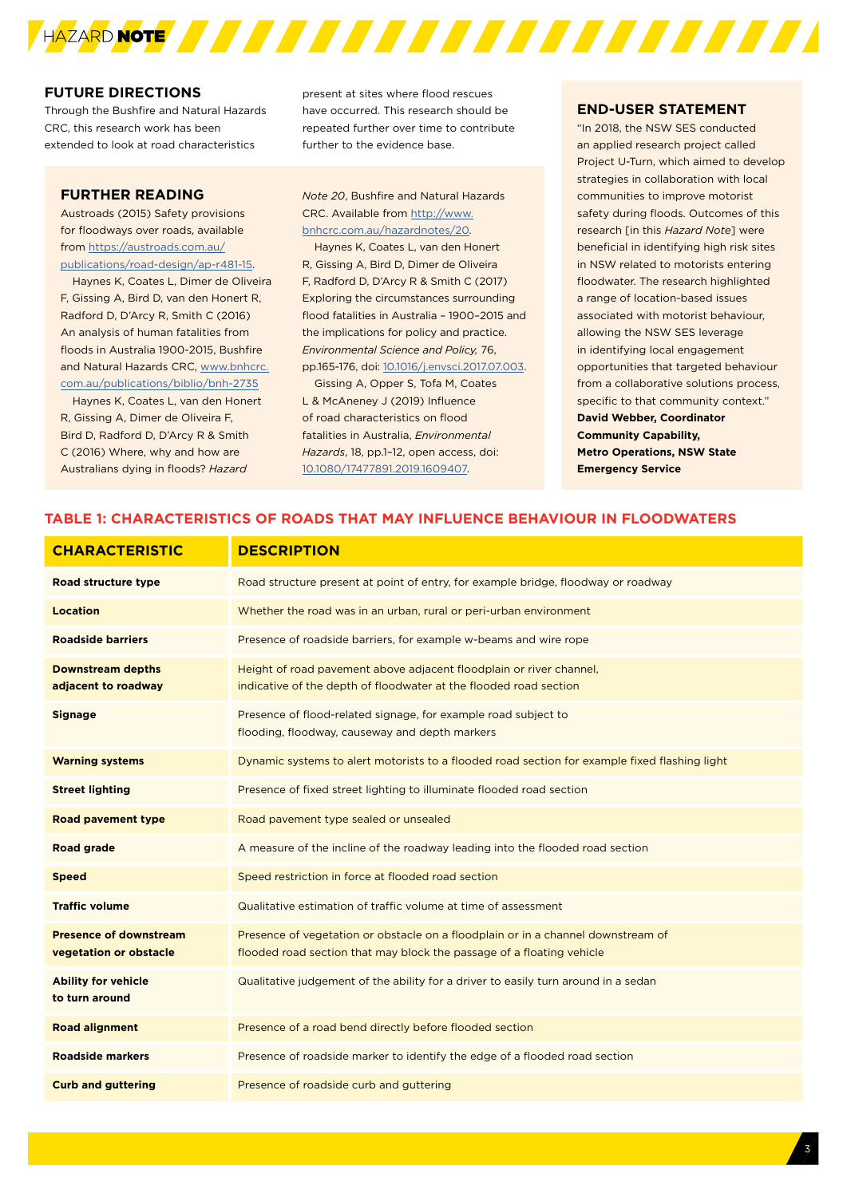

#### **FUTURE DIRECTIONS**

Through the Bushfire and Natural Hazards CRC, this research work has been extended to look at road characteristics

#### **FURTHER READING**

Austroads (2015) Safety provisions for floodways over roads, available from [https://austroads.com.au/](https://austroads.com.au/publications/road-design/ap-r481-15) [publications/road-design/ap-r481-15](https://austroads.com.au/publications/road-design/ap-r481-15).

Haynes K, Coates L, Dimer de Oliveira F, Gissing A, Bird D, van den Honert R, Radford D, D'Arcy R, Smith C (2016) An analysis of human fatalities from floods in Australia 1900-2015, Bushfire and Natural Hazards CRC, www.bnhcrc. com.au/publications/biblio/bnh-2735

Haynes K, Coates L, van den Honert R, Gissing A, Dimer de Oliveira F, Bird D, Radford D, D'Arcy R & Smith C (2016) Where, why and how are Australians dying in floods? *Hazard* 

present at sites where flood rescues have occurred. This research should be repeated further over time to contribute further to the evidence base.

*Note 20*, Bushfire and Natural Hazards CRC. Available from [http://www.](http://www.bnhcrc.com.au/hazardnotes/20) [bnhcrc.com.au/hazardnotes/20.](http://www.bnhcrc.com.au/hazardnotes/20)

Haynes K, Coates L, van den Honert R, Gissing A, Bird D, Dimer de Oliveira F, Radford D, D'Arcy R & Smith C (2017) Exploring the circumstances surrounding flood fatalities in Australia – 1900–2015 and the implications for policy and practice. *Environmental Science and Policy,* 76, pp.165-176, doi: [10.1016/j.envsci.2017.07.003](https://doi.org/10.1016/j.envsci.2017.07.003).

Gissing A, Opper S, Tofa M, Coates L & McAneney J (2019) Influence of road characteristics on flood fatalities in Australia, *Environmental Hazards*, 18, pp.1–12, open access, doi: [10.1080/17477891.2019.1609407](http://dx.doi.org/10.1080/17477891.2019.1609407).

#### **END-USER STATEMENT**

"In 2018, the NSW SES conducted an applied research project called Project U-Turn, which aimed to develop strategies in collaboration with local communities to improve motorist safety during floods. Outcomes of this research [in this *Hazard Note*] were beneficial in identifying high risk sites in NSW related to motorists entering floodwater. The research highlighted a range of location-based issues associated with motorist behaviour, allowing the NSW SES leverage in identifying local engagement opportunities that targeted behaviour from a collaborative solutions process, specific to that community context." **David Webber, Coordinator Community Capability, Metro Operations, NSW State Emergency Service**

#### **TABLE 1: CHARACTERISTICS OF ROADS THAT MAY INFLUENCE BEHAVIOUR IN FLOODWATERS**

| <b>CHARACTERISTIC</b>                                   | <b>DESCRIPTION</b>                                                                                                                                        |
|---------------------------------------------------------|-----------------------------------------------------------------------------------------------------------------------------------------------------------|
| Road structure type                                     | Road structure present at point of entry, for example bridge, floodway or roadway                                                                         |
| <b>Location</b>                                         | Whether the road was in an urban, rural or peri-urban environment                                                                                         |
| <b>Roadside barriers</b>                                | Presence of roadside barriers, for example w-beams and wire rope                                                                                          |
| <b>Downstream depths</b><br>adjacent to roadway         | Height of road pavement above adjacent floodplain or river channel,<br>indicative of the depth of floodwater at the flooded road section                  |
| <b>Signage</b>                                          | Presence of flood-related signage, for example road subject to<br>flooding, floodway, causeway and depth markers                                          |
| <b>Warning systems</b>                                  | Dynamic systems to alert motorists to a flooded road section for example fixed flashing light                                                             |
| <b>Street lighting</b>                                  | Presence of fixed street lighting to illuminate flooded road section                                                                                      |
| <b>Road pavement type</b>                               | Road pavement type sealed or unsealed                                                                                                                     |
| <b>Road grade</b>                                       | A measure of the incline of the roadway leading into the flooded road section                                                                             |
| <b>Speed</b>                                            | Speed restriction in force at flooded road section                                                                                                        |
| <b>Traffic volume</b>                                   | Qualitative estimation of traffic volume at time of assessment                                                                                            |
| <b>Presence of downstream</b><br>vegetation or obstacle | Presence of vegetation or obstacle on a floodplain or in a channel downstream of<br>flooded road section that may block the passage of a floating vehicle |
| <b>Ability for vehicle</b><br>to turn around            | Qualitative judgement of the ability for a driver to easily turn around in a sedan                                                                        |
| <b>Road alignment</b>                                   | Presence of a road bend directly before flooded section                                                                                                   |
| <b>Roadside markers</b>                                 | Presence of roadside marker to identify the edge of a flooded road section                                                                                |
| <b>Curb and guttering</b>                               | Presence of roadside curb and guttering                                                                                                                   |